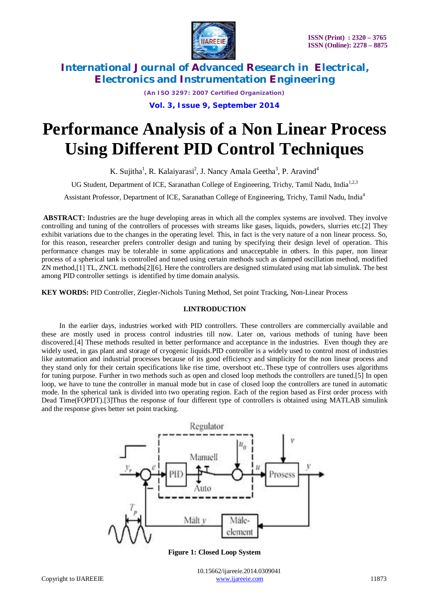

*(An ISO 3297: 2007 Certified Organization)* **Vol. 3, Issue 9, September 2014**

# **Performance Analysis of a Non Linear Process Using Different PID Control Techniques**

K. Sujitha<sup>1</sup>, R. Kalaiyarasi<sup>2</sup>, J. Nancy Amala Geetha<sup>3</sup>, P. Aravind<sup>4</sup>

UG Student, Department of ICE, Saranathan College of Engineering, Trichy, Tamil Nadu, India<sup>1,2,3</sup>

Assistant Professor, Department of ICE, Saranathan College of Engineering, Trichy, Tamil Nadu, India<sup>4</sup>

**ABSTRACT:** Industries are the huge developing areas in which all the complex systems are involved. They involve controlling and tuning of the controllers of processes with streams like gases, liquids, powders, slurries etc.[2] They exhibit variations due to the changes in the operating level. This, in fact is the very nature of a non linear process. So, for this reason, researcher prefers controller design and tuning by specifying their design level of operation. This performance changes may be tolerable in some applications and unacceptable in others. In this paper, non linear process of a spherical tank is controlled and tuned using certain methods such as damped oscillation method, modified ZN method,[1] TL, ZNCL methods[2][6]. Here the controllers are designed stimulated using mat lab simulink. The best among PID controller settings is identified by time domain analysis.

**KEY WORDS:** PID Controller, Ziegler-Nichols Tuning Method, Set point Tracking, Non-Linear Process

# **I.INTRODUCTION**

 In the earlier days, industries worked with PID controllers. These controllers are commercially available and these are mostly used in process control industries till now. Later on, various methods of tuning have been discovered.[4] These methods resulted in better performance and acceptance in the industries. Even though they are widely used, in gas plant and storage of cryogenic liquids.PID controller is a widely used to control most of industries like automation and industrial processes because of its good efficiency and simplicity for the non linear process and they stand only for their certain specifications like rise time, overshoot etc..These type of controllers uses algorithms for tuning purpose. Further in two methods such as open and closed loop methods the controllers are tuned.[5] In open loop, we have to tune the controller in manual mode but in case of closed loop the controllers are tuned in automatic mode. In the spherical tank is divided into two operating region. Each of the region based as First order process with Dead Time(FOPDT).[3]Thus the response of four different type of controllers is obtained using MATLAB simulink and the response gives better set point tracking.



**Figure 1: Closed Loop System**

 10.15662/ijareeie.2014.0309041 Copyright to IJAREEIE www.ijareeie.com 11873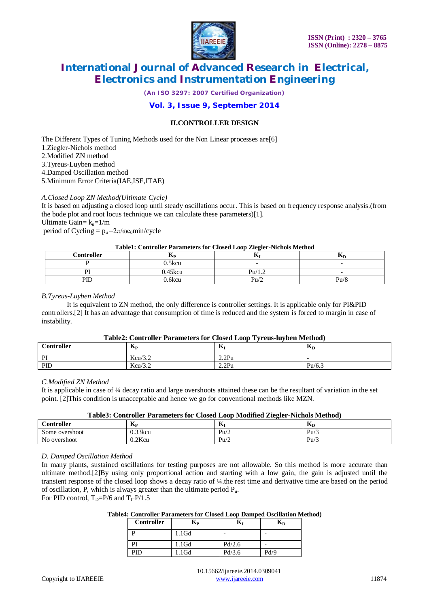

*(An ISO 3297: 2007 Certified Organization)*

# **Vol. 3, Issue 9, September 2014**

# **II.CONTROLLER DESIGN**

The Different Types of Tuning Methods used for the Non Linear processes are[6] 1.Ziegler-Nichols method 2.Modified ZN method 3.Tyreus-Luyben method 4.Damped Oscillation method 5.Minimum Error Criteria(IAE,ISE,ITAE)

### *A.Closed Loop ZN Method(Ultimate Cycle)*

It is based on adjusting a closed loop until steady oscillations occur. This is based on frequency response analysis.(from the bode plot and root locus technique we can calculate these parameters)[1]. Ultimate Gain=  $k_u=1/m$ period of Cycling =  $p_u = 2\pi/\omega c_0 \text{min/cycle}$ 

#### **Table1: Controller Parameters for Closed Loop Ziegler-Nichols Method**

| <b>Controller</b> | IУP     | л.     | AD                       |
|-------------------|---------|--------|--------------------------|
|                   | ).5kcu  |        | $\overline{\phantom{0}}$ |
|                   | 0.45kcu | Pu/1.2 | $\overline{\phantom{0}}$ |
| $\overline{P}$    | .6kcu   | Pu/2   | $P_{11}/8$               |

### *B.Tyreus-Luyben Method*

 It is equivalent to ZN method, the only difference is controller settings. It is applicable only for PI&PID controllers.[2] It has an advantage that consumption of time is reduced and the system is forced to margin in case of instability.

### **Table2: Controller Parameters for Closed Loop Tyreus-luyben Method)**

| Controller | T<br><b>IMP</b> | --<br>A | $\mathbf{r}$<br>$\mathbf{n}_D$ |
|------------|-----------------|---------|--------------------------------|
| PI<br>- 14 | Kcu/3.2         | 2.2Pu   |                                |
| PID        | Kcu/3.2         | 2.2Pu   | Pu/6.3                         |

# *C.Modified ZN Method*

It is applicable in case of ¼ decay ratio and large overshoots attained these can be the resultant of variation in the set point. [2]This condition is unacceptable and hence we go for conventional methods like MZN.

### **Table3: Controller Parameters for Closed Loop Modified Ziegler-Nichols Method)**

| $\sim$<br>Controller | $-$<br><b>INP</b> | - -<br>A            | $-$<br>JМ      |
|----------------------|-------------------|---------------------|----------------|
| Some overshoot       | $0.33$ kcu        | $P_{U/\mathcal{L}}$ | $P_{\text{u}}$ |
| No overshoot         | $0.2$ Kcu         | $P_{u/z}$           | Pu/            |

### *D. Damped Oscillation Method*

In many plants, sustained oscillations for testing purposes are not allowable. So this method is more accurate than ultimate method.[2]By using only proportional action and starting with a low gain, the gain is adjusted until the transient response of the closed loop shows a decay ratio of ¼.the rest time and derivative time are based on the period of oscillation, P, which is always greater than the ultimate period  $P_{\mu}$ .

For PID control,  $T_D = P/6$  and  $T_E = P/1.5$ 

### **Table4: Controller Parameters for Closed Loop Damped Oscillation Method)**

| <b>Controller</b> | Kр       | ובו    | nп   |
|-------------------|----------|--------|------|
|                   | $1.1$ Gd |        |      |
| PI                | $1.1$ Gd | Pd/2.6 |      |
| PID               | $1.1$ Gd | Pd/3.6 | Pd/9 |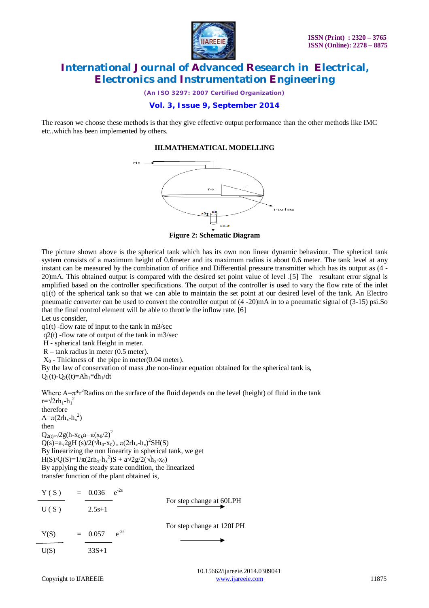

*(An ISO 3297: 2007 Certified Organization)*

# **Vol. 3, Issue 9, September 2014**

The reason we choose these methods is that they give effective output performance than the other methods like IMC etc..which has been implemented by others.

# **III.MATHEMATICAL MODELLING**



**Figure 2: Schematic Diagram**

The picture shown above is the spherical tank which has its own non linear dynamic behaviour. The spherical tank system consists of a maximum height of 0.6meter and its maximum radius is about 0.6 meter. The tank level at any instant can be measured by the combination of orifice and Differential pressure transmitter which has its output as (4 - 20)mA. This obtained output is compared with the desired set point value of level .[5] The resultant error signal is amplified based on the controller specifications. The output of the controller is used to vary the flow rate of the inlet  $q1(t)$  of the spherical tank so that we can able to maintain the set point at our desired level of the tank. An Electro pneumatic converter can be used to convert the controller output of (4 -20)mA in to a pneumatic signal of (3-15) psi.So that the final control element will be able to throttle the inflow rate. [6]

Let us consider,

 $q1(t)$ -flow rate of input to the tank in m3/sec

 $q2(t)$  -flow rate of output of the tank in m3/sec

H - spherical tank Height in meter.

R – tank radius in meter (0.5 meter).

 $X_0$  - Thickness of the pipe in meter(0.04 meter).

By the law of conservation of mass , the non-linear equation obtained for the spherical tank is,  $Q_1(t) - Q_2(t) = Ah_1 * dh_1/dt$ 

Where  $A=\pi^*r^2$ Radius on the surface of the fluid depends on the level (height) of fluid in the tank  $r = \sqrt{2rh_1-h_1}^2$ therefore

 $A = \pi (2rh_x-h_x^2)$ then  $Q_{2(t)=\sqrt{2}g(h-x_{0}),a=\pi(x_{0}/2)^{2}}$  $Q(s)=a\sqrt{2g}H(s)/2(\sqrt{h_0-x_0})=\pi(2rh_x-h_x)^2SH(S)$ By linearizing the non linearity in spherical tank, we get  $H(S)/Q(S)=1/\pi(2rh_x-h_x^2)S + a\sqrt{2g/2}(\sqrt{h_x-x_0})$ By applying the steady state condition, the linearized transfer function of the plant obtained is,

| Y(S) | $= 0.036 \text{ e}^{-2s}$ |           |                           |
|------|---------------------------|-----------|---------------------------|
| U(S) | $2.5s+1$                  |           | For step change at 60LPH  |
| Y(S) | $= 0.057$                 | $e^{-2s}$ | For step change at 120LPH |
| U(S) | $33S+1$                   |           |                           |

 10.15662/ijareeie.2014.0309041 Copyright to UAREEIE www.ijareeie.com 11875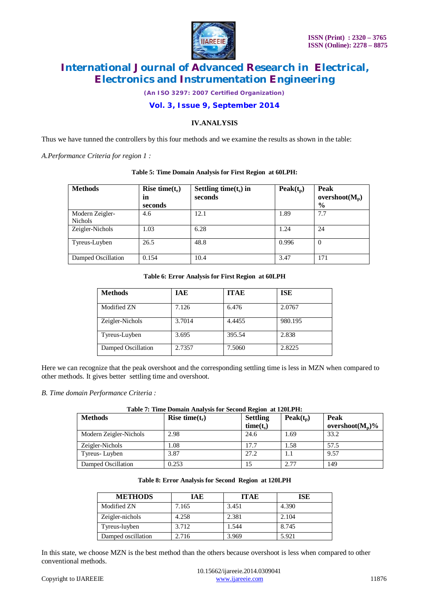

*(An ISO 3297: 2007 Certified Organization)*

# **Vol. 3, Issue 9, September 2014**

# **IV.ANALYSIS**

Thus we have tunned the controllers by this four methods and we examine the results as shown in the table:

*A.Performance Criteria for region 1 :*

| <b>Methods</b>                    | Rise time $(t_r)$<br>in<br>seconds | Settling time $(t_s)$ in<br>seconds | Peak(t <sub>p</sub> ) | Peak<br>overshoot $(M_n)$<br>$\frac{6}{9}$ |
|-----------------------------------|------------------------------------|-------------------------------------|-----------------------|--------------------------------------------|
| Modern Zeigler-<br><b>Nichols</b> | 4.6                                | 12.1                                | 1.89                  | 7.7                                        |
| Zeigler-Nichols                   | 1.03                               | 6.28                                | 1.24                  | 24                                         |
| Tyreus-Luyben                     | 26.5                               | 48.8                                | 0.996                 | $\overline{0}$                             |
| Damped Oscillation                | 0.154                              | 10.4                                | 3.47                  | 171                                        |

### **Table 5: Time Domain Analysis for First Region at 60LPH:**

### **Table 6: Error Analysis for First Region at 60LPH**

| <b>Methods</b>     | <b>IAE</b> | <b>ITAE</b> | <b>ISE</b> |
|--------------------|------------|-------------|------------|
| Modified ZN        | 7.126      | 6.476       | 2.0767     |
| Zeigler-Nichols    | 3.7014     | 4.4455      | 980.195    |
| Tyreus-Luyben      | 3.695      | 395.54      | 2.838      |
| Damped Oscillation | 2.7357     | 7.5060      | 2.8225     |

Here we can recognize that the peak overshoot and the corresponding settling time is less in MZN when compared to other methods. It gives better settling time and overshoot.

*B. Time domain Performance Criteria :*

| Table 7: Time Domain Analysis for Second Region at 120LPH: |                   |                 |             |                     |  |
|------------------------------------------------------------|-------------------|-----------------|-------------|---------------------|--|
| <b>Methods</b>                                             | Rise time $(t_r)$ | <b>Settling</b> | $Peak(t_n)$ | Peak                |  |
|                                                            |                   | $time(t_s)$     |             | overshoot( $M_p$ )% |  |
| Modern Zeigler-Nichols                                     | 2.98              | 24.6            | 1.69        | 33.2                |  |
| Zeigler-Nichols                                            | 1.08              | 17.7            | 1.58        | 57.5                |  |
| Tyreus-Luyben                                              | 3.87              | 27.2            | 1.1         | 9.57                |  |
| Damped Oscillation                                         | 0.253             | 15              | 2.77        | 149                 |  |

### **Table 8: Error Analysis for Second Region at 120LPH**

| <b>METHODS</b>     | <b>IAE</b> | <b>ITAE</b> | <b>ISE</b> |
|--------------------|------------|-------------|------------|
| Modified ZN        | 7.165      | 3.451       | 4.390      |
| Zeigler-nichols    | 4.258      | 2.381       | 2.104      |
| Tyreus-luyben      | 3.712      | 1.544       | 8.745      |
| Damped oscillation | 2.716      | 3.969       | 5.921      |

In this state, we choose MZN is the best method than the others because overshoot is less when compared to other conventional methods.